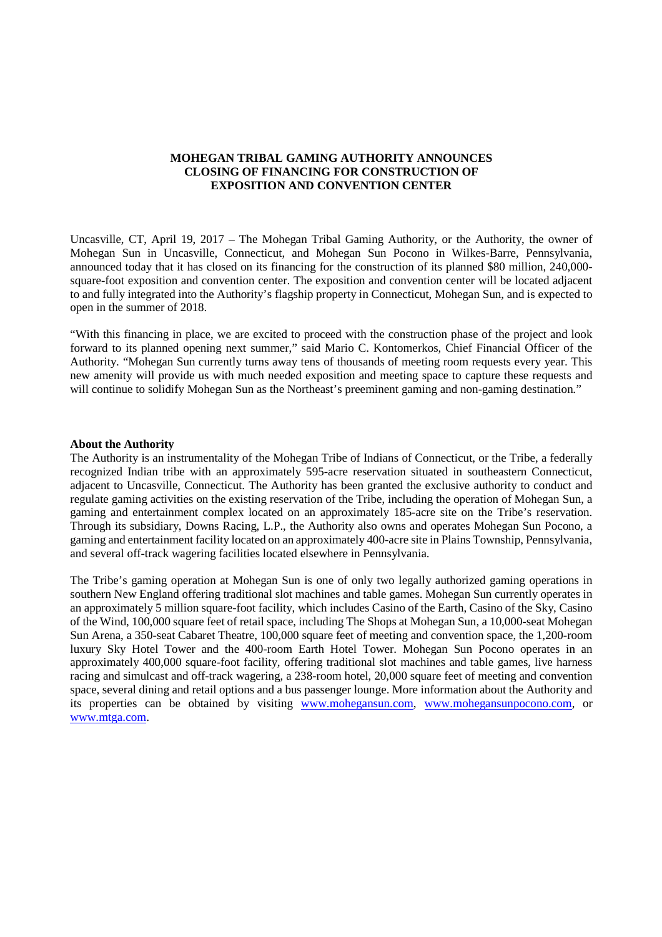## **MOHEGAN TRIBAL GAMING AUTHORITY ANNOUNCES CLOSING OF FINANCING FOR CONSTRUCTION OF EXPOSITION AND CONVENTION CENTER**

Uncasville, CT, April 19, 2017 – The Mohegan Tribal Gaming Authority, or the Authority, the owner of Mohegan Sun in Uncasville, Connecticut, and Mohegan Sun Pocono in Wilkes-Barre, Pennsylvania, announced today that it has closed on its financing for the construction of its planned \$80 million, 240,000 square-foot exposition and convention center. The exposition and convention center will be located adjacent to and fully integrated into the Authority's flagship property in Connecticut, Mohegan Sun, and is expected to open in the summer of 2018.

"With this financing in place, we are excited to proceed with the construction phase of the project and look forward to its planned opening next summer," said Mario C. Kontomerkos, Chief Financial Officer of the Authority. "Mohegan Sun currently turns away tens of thousands of meeting room requests every year. This new amenity will provide us with much needed exposition and meeting space to capture these requests and will continue to solidify Mohegan Sun as the Northeast's preeminent gaming and non-gaming destination."

## **About the Authority**

The Authority is an instrumentality of the Mohegan Tribe of Indians of Connecticut, or the Tribe, a federally recognized Indian tribe with an approximately 595-acre reservation situated in southeastern Connecticut, adjacent to Uncasville, Connecticut. The Authority has been granted the exclusive authority to conduct and regulate gaming activities on the existing reservation of the Tribe, including the operation of Mohegan Sun, a gaming and entertainment complex located on an approximately 185-acre site on the Tribe's reservation. Through its subsidiary, Downs Racing, L.P., the Authority also owns and operates Mohegan Sun Pocono, a gaming and entertainment facility located on an approximately 400-acre site in Plains Township, Pennsylvania, and several off-track wagering facilities located elsewhere in Pennsylvania.

The Tribe's gaming operation at Mohegan Sun is one of only two legally authorized gaming operations in southern New England offering traditional slot machines and table games. Mohegan Sun currently operates in an approximately 5 million square-foot facility, which includes Casino of the Earth, Casino of the Sky, Casino of the Wind, 100,000 square feet of retail space, including The Shops at Mohegan Sun, a 10,000-seat Mohegan Sun Arena, a 350-seat Cabaret Theatre, 100,000 square feet of meeting and convention space, the 1,200-room luxury Sky Hotel Tower and the 400-room Earth Hotel Tower. Mohegan Sun Pocono operates in an approximately 400,000 square-foot facility, offering traditional slot machines and table games, live harness racing and simulcast and off-track wagering, a 238-room hotel, 20,000 square feet of meeting and convention space, several dining and retail options and a bus passenger lounge. More information about the Authority and its properties can be obtained by visiting www.mohegansun.com, www.mohegansunpocono.com, or www.mtga.com.